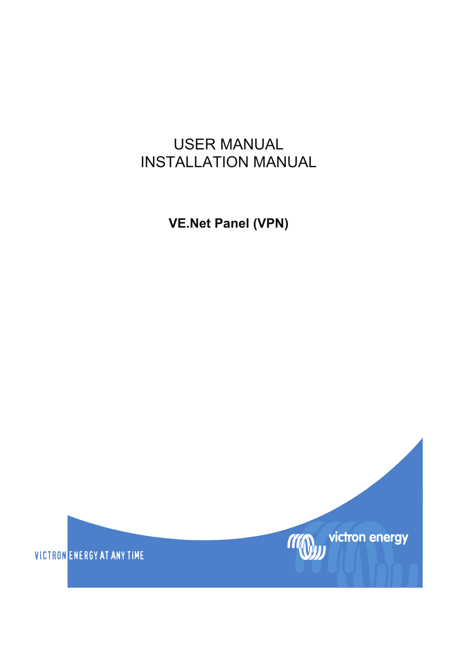### USER MANUAL INSTALLATION MANUAL

**VE.Net Panel (VPN)** 

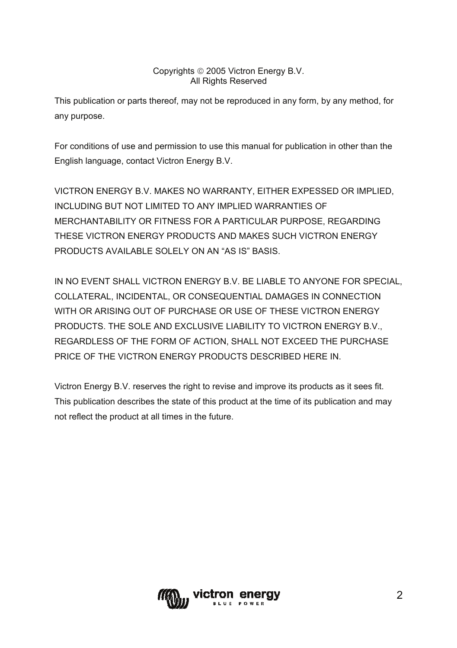#### Copyrights © 2005 Victron Energy B.V. All Rights Reserved

This publication or parts thereof, may not be reproduced in any form, by any method, for any purpose.

For conditions of use and permission to use this manual for publication in other than the English language, contact Victron Energy B.V.

VICTRON ENERGY B.V. MAKES NO WARRANTY, EITHER EXPESSED OR IMPLIED, INCLUDING BUT NOT LIMITED TO ANY IMPLIED WARRANTIES OF MERCHANTABILITY OR FITNESS FOR A PARTICULAR PURPOSE, REGARDING THESE VICTRON ENERGY PRODUCTS AND MAKES SUCH VICTRON ENERGY PRODUCTS AVAILABLE SOLELY ON AN "AS IS" BASIS.

IN NO EVENT SHALL VICTRON ENERGY B.V. BE LIABLE TO ANYONE FOR SPECIAL, COLLATERAL, INCIDENTAL, OR CONSEQUENTIAL DAMAGES IN CONNECTION WITH OR ARISING OUT OF PURCHASE OR USE OF THESE VICTRON ENERGY PRODUCTS. THE SOLE AND EXCLUSIVE LIABILITY TO VICTRON ENERGY B.V., REGARDLESS OF THE FORM OF ACTION, SHALL NOT EXCEED THE PURCHASE PRICE OF THE VICTRON ENERGY PRODUCTS DESCRIBED HERE IN.

Victron Energy B.V. reserves the right to revise and improve its products as it sees fit. This publication describes the state of this product at the time of its publication and may not reflect the product at all times in the future.

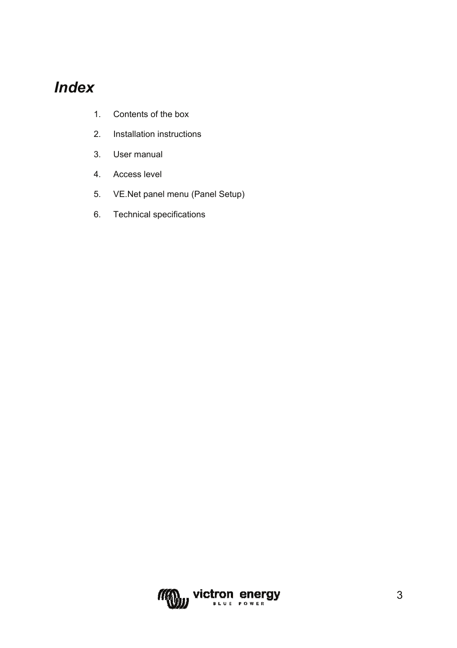### *Index*

- [1.](#page-3-0) [Contents of the box](#page-3-0)
- [2.](#page-4-0) [Installation instructions](#page-4-0)
- [3.](#page-5-0) [User manual](#page-5-0)
- [4.](#page-7-0) [Access level](#page-7-0)
- [5.](#page-8-0) [VE.Net panel menu \(Panel Setup\)](#page-8-0)
- [6.](#page-9-0) [Technical specifications](#page-9-0)

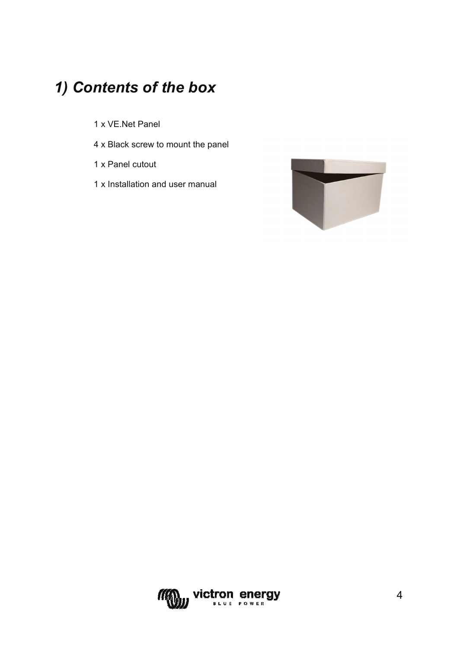## <span id="page-3-0"></span>*1) Contents of the box*

- 1 x VE.Net Panel
- 4 x Black screw to mount the panel
- 1 x Panel cutout
- 1 x Installation and user manual



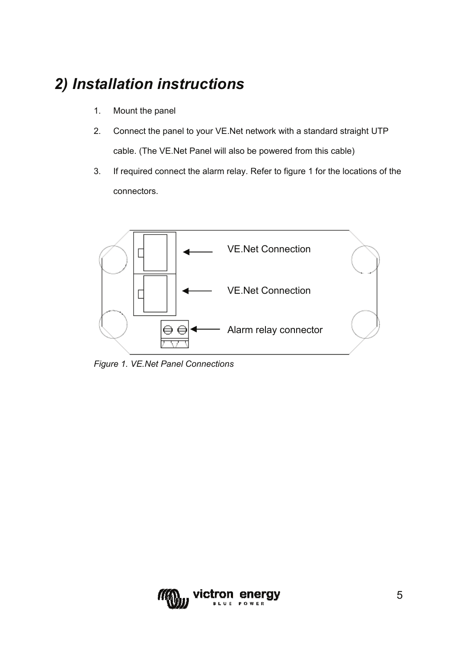### <span id="page-4-0"></span>*2) Installation instructions*

- 1. Mount the panel
- 2. Connect the panel to your VE.Net network with a standard straight UTP cable. (The VE.Net Panel will also be powered from this cable)
- 3. If required connect the alarm relay. Refer to figure 1 for the locations of the connectors.



*Figure 1. VE.Net Panel Connections* 

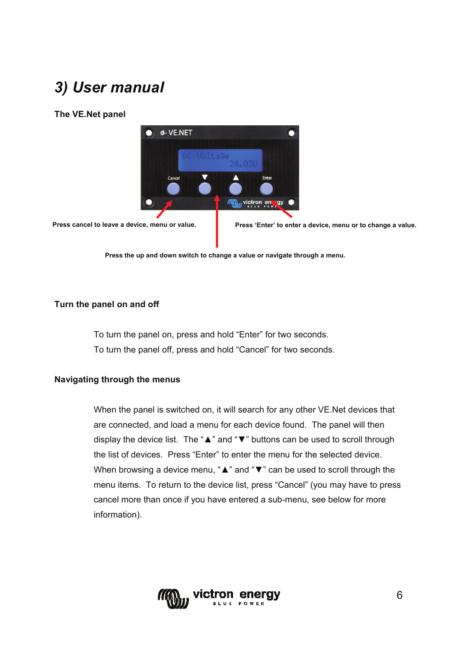## <span id="page-5-0"></span>*3) User manual*

#### **The VE.Net panel**



**Press cancel to leave a device, menu or value.** 

**Press 'Enter' to enter a device, menu or to change a value.** 

**Press the up and down switch to change a value or navigate through a menu.** 

#### **Turn the panel on and off**

To turn the panel on, press and hold "Enter" for two seconds. To turn the panel off, press and hold "Cancel" for two seconds.

#### **Navigating through the menus**

When the panel is switched on, it will search for any other VE.Net devices that are connected, and load a menu for each device found. The panel will then display the device list. The "▲" and "▼" buttons can be used to scroll through the list of devices. Press "Enter" to enter the menu for the selected device. When browsing a device menu, "A" and "V" can be used to scroll through the menu items. To return to the device list, press "Cancel" (you may have to press cancel more than once if you have entered a sub-menu, see below for more information).

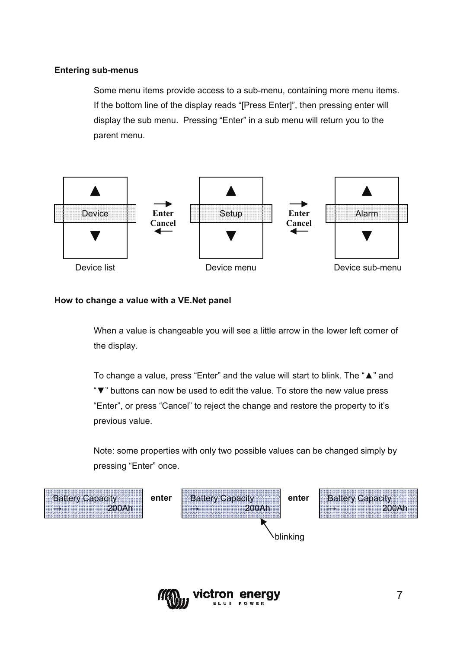#### **Entering sub-menus**

Some menu items provide access to a sub-menu, containing more menu items. If the bottom line of the display reads "[Press Enter]", then pressing enter will display the sub menu. Pressing "Enter" in a sub menu will return you to the parent menu.



#### **How to change a value with a VE.Net panel**

 When a value is changeable you will see a little arrow in the lower left corner of the display.

To change a value, press "Enter" and the value will start to blink. The "▲" and "▼" buttons can now be used to edit the value. To store the new value press "Enter", or press "Cancel" to reject the change and restore the property to it's previous value.

Note: some properties with only two possible values can be changed simply by pressing "Enter" once.



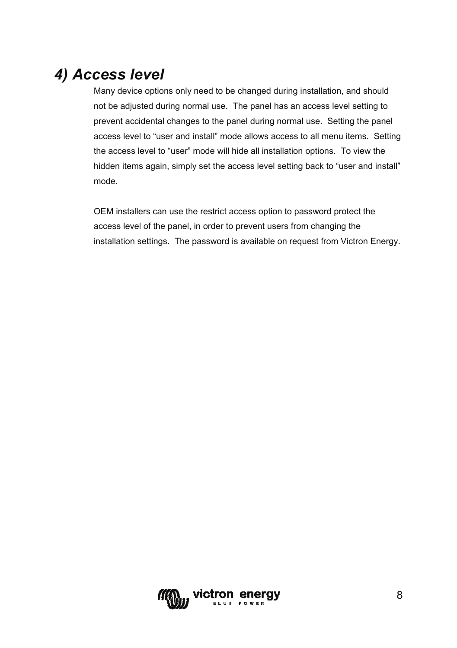### <span id="page-7-0"></span>*4) Access level*

Many device options only need to be changed during installation, and should not be adjusted during normal use. The panel has an access level setting to prevent accidental changes to the panel during normal use. Setting the panel access level to "user and install" mode allows access to all menu items. Setting the access level to "user" mode will hide all installation options. To view the hidden items again, simply set the access level setting back to "user and install" mode.

OEM installers can use the restrict access option to password protect the access level of the panel, in order to prevent users from changing the installation settings. The password is available on request from Victron Energy.

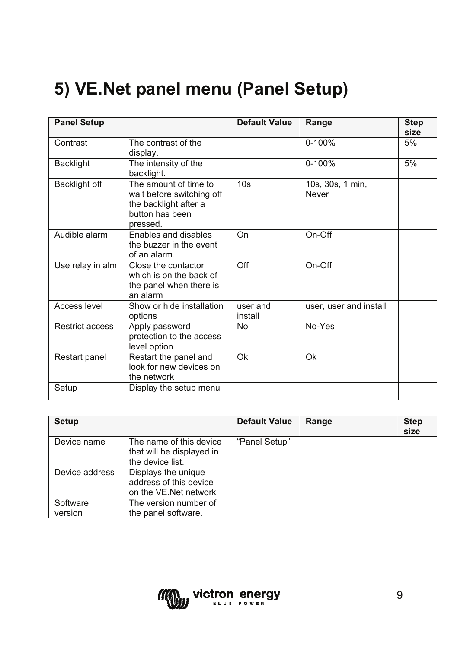# <span id="page-8-0"></span>**5) VE.Net panel menu (Panel Setup)**

| <b>Panel Setup</b> |                                                                                                            | <b>Default Value</b> | Range                     | <b>Step</b><br>size |
|--------------------|------------------------------------------------------------------------------------------------------------|----------------------|---------------------------|---------------------|
| Contrast           | The contrast of the<br>display.                                                                            |                      | 0-100%                    | 5%                  |
| Backlight          | The intensity of the<br>backlight.                                                                         |                      | $0 - 100%$                | 5%                  |
| Backlight off      | The amount of time to<br>wait before switching off<br>the backlight after a<br>button has been<br>pressed. | 10 <sub>s</sub>      | 10s, 30s, 1 min,<br>Never |                     |
| Audible alarm      | Enables and disables<br>the buzzer in the event<br>of an alarm.                                            | On                   | On-Off                    |                     |
| Use relay in alm   | Close the contactor<br>which is on the back of<br>the panel when there is<br>an alarm                      | Off                  | On-Off                    |                     |
| Access level       | Show or hide installation<br>options                                                                       | user and<br>install  | user, user and install    |                     |
| Restrict access    | Apply password<br>protection to the access<br>level option                                                 | No.                  | No-Yes                    |                     |
| Restart panel      | Restart the panel and<br>look for new devices on<br>the network                                            | Ok                   | Ok                        |                     |
| Setup              | Display the setup menu                                                                                     |                      |                           |                     |

| Setup               |                                                                          | <b>Default Value</b> | Range | <b>Step</b><br>size |
|---------------------|--------------------------------------------------------------------------|----------------------|-------|---------------------|
| Device name         | The name of this device<br>that will be displayed in<br>the device list. | "Panel Setup"        |       |                     |
| Device address      | Displays the unique<br>address of this device<br>on the VE.Net network   |                      |       |                     |
| Software<br>version | The version number of<br>the panel software.                             |                      |       |                     |